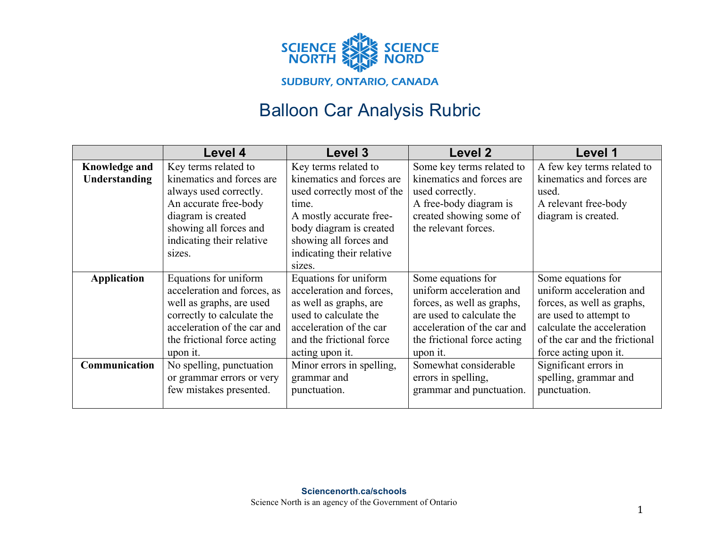

## Balloon Car Analysis Rubric

|                      | Level 4                     | <b>Level 3</b>             | Level 2                     | Level 1                       |
|----------------------|-----------------------------|----------------------------|-----------------------------|-------------------------------|
| <b>Knowledge and</b> | Key terms related to        | Key terms related to       | Some key terms related to   | A few key terms related to    |
| <b>Understanding</b> | kinematics and forces are   | kinematics and forces are  | kinematics and forces are   | kinematics and forces are     |
|                      | always used correctly.      | used correctly most of the | used correctly.             | used.                         |
|                      | An accurate free-body       | time.                      | A free-body diagram is      | A relevant free-body          |
|                      | diagram is created          | A mostly accurate free-    | created showing some of     | diagram is created.           |
|                      | showing all forces and      | body diagram is created    | the relevant forces.        |                               |
|                      | indicating their relative   | showing all forces and     |                             |                               |
|                      | sizes.                      | indicating their relative  |                             |                               |
|                      |                             | sizes.                     |                             |                               |
| <b>Application</b>   | Equations for uniform       | Equations for uniform      | Some equations for          | Some equations for            |
|                      | acceleration and forces, as | acceleration and forces,   | uniform acceleration and    | uniform acceleration and      |
|                      | well as graphs, are used    | as well as graphs, are     | forces, as well as graphs,  | forces, as well as graphs,    |
|                      | correctly to calculate the  | used to calculate the      | are used to calculate the   | are used to attempt to        |
|                      | acceleration of the car and | acceleration of the car    | acceleration of the car and | calculate the acceleration    |
|                      | the frictional force acting | and the frictional force   | the frictional force acting | of the car and the frictional |
|                      | upon it.                    | acting upon it.            | upon it.                    | force acting upon it.         |
| Communication        | No spelling, punctuation    | Minor errors in spelling,  | Somewhat considerable       | Significant errors in         |
|                      | or grammar errors or very   | grammar and                | errors in spelling,         | spelling, grammar and         |
|                      | few mistakes presented.     | punctuation.               | grammar and punctuation.    | punctuation.                  |
|                      |                             |                            |                             |                               |